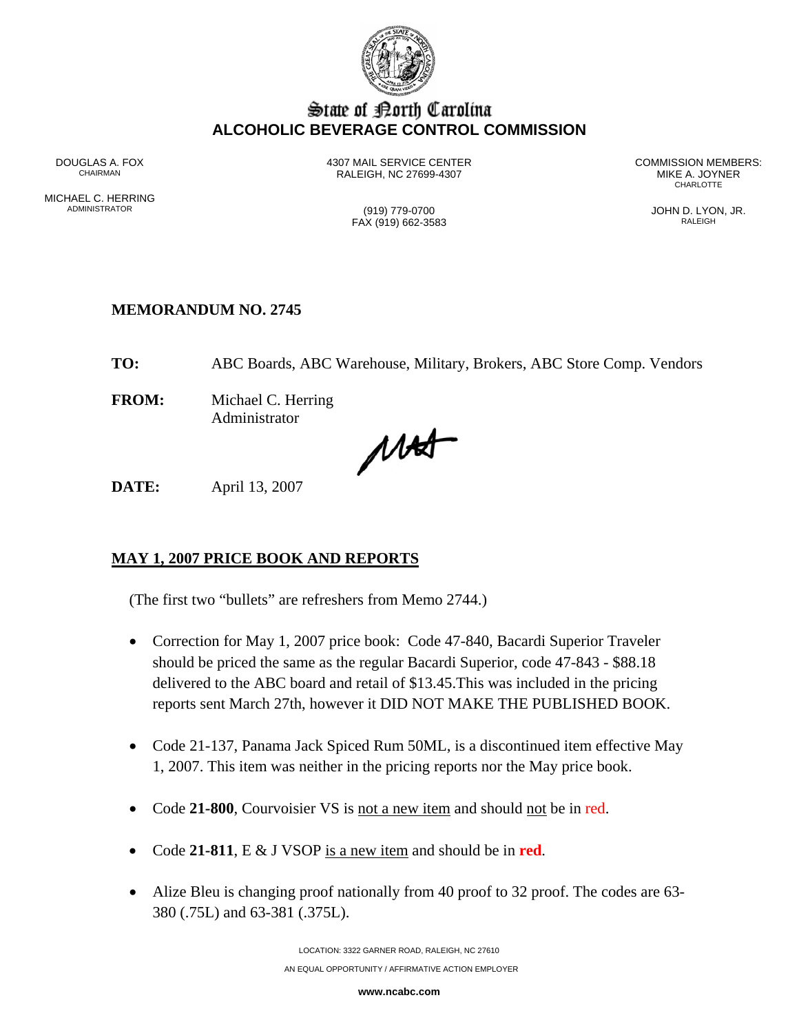

# State of Borth Carolina **ALCOHOLIC BEVERAGE CONTROL COMMISSION**

MICHAEL C. HERRING<br>ADMINISTRATOR

DOUGLAS A. FOX **1307 MAIL SERVICE CENTER** COMMISSION MEMBERS:<br>CHAIRMAN CHAIRMAN CHAIRMAN BEACH C 27699-4307 RALEIGH, NC 27699-4307 MIKE A. JOYNER **CHARLOTTE** 

 $FAX (919) 662-3583$ 

(919) 779-0700 (919) 779-0700 JOHN D. LYON, JR.

### **MEMORANDUM NO. 2745**

**TO:** ABC Boards, ABC Warehouse, Military, Brokers, ABC Store Comp. Vendors

**FROM:** Michael C. Herring Administrator

MAS

**DATE:** April 13, 2007

# **MAY 1, 2007 PRICE BOOK AND REPORTS**

(The first two "bullets" are refreshers from Memo 2744.)

- Correction for May 1, 2007 price book: Code 47-840, Bacardi Superior Traveler should be priced the same as the regular Bacardi Superior, code 47-843 - \$88.18 delivered to the ABC board and retail of \$13.45.This was included in the pricing reports sent March 27th, however it DID NOT MAKE THE PUBLISHED BOOK.
- Code 21-137, Panama Jack Spiced Rum 50ML, is a discontinued item effective May 1, 2007. This item was neither in the pricing reports nor the May price book.
- Code **21-800**, Courvoisier VS is not a new item and should not be in red.
- Code **21-811**, E & J VSOP is a new item and should be in **red**.
- Alize Bleu is changing proof nationally from 40 proof to 32 proof. The codes are 63-380 (.75L) and 63-381 (.375L).

**www.ncabc.com**